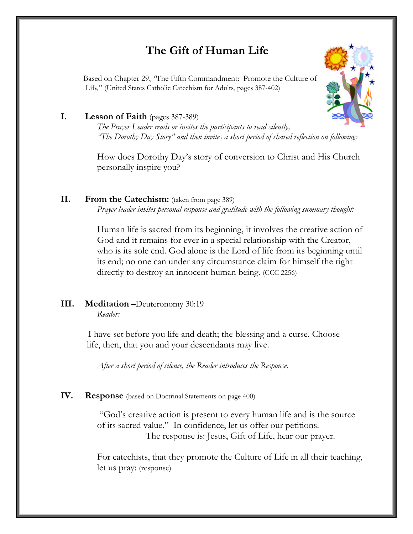## **The Gift of Human Life**

 Based on Chapter 29, *"*The Fifth Commandment: Promote the Culture of Lif*e,*" (United States Catholic Catechism for Adults, pages 387-402)



#### **I. Lesson of Faith** (pages 387-389)

*The Prayer Leader reads or invites the participants to read silently, "The Dorothy Day Story" and then invites a short period of shared reflection on following:* 

How does Dorothy Day's story of conversion to Christ and His Church personally inspire you?

### **II. From the Catechism:** (taken from page 389)

*Prayer leader invites personal response and gratitude with the following summary thought:*

Human life is sacred from its beginning, it involves the creative action of God and it remains for ever in a special relationship with the Creator, who is its sole end. God alone is the Lord of life from its beginning until its end; no one can under any circumstance claim for himself the right directly to destroy an innocent human being. (CCC 2256)

# **III. Meditation –**Deuteronomy 30:19

*Reader:* 

I have set before you life and death; the blessing and a curse. Choose life, then, that you and your descendants may live.

*After a short period of silence, the Reader introduces the Response.* 

#### **IV. Response** (based on Doctrinal Statements on page 400)

 "God's creative action is present to every human life and is the source of its sacred value." In confidence, let us offer our petitions. The response is: Jesus, Gift of Life, hear our prayer.

For catechists, that they promote the Culture of Life in all their teaching, let us pray: (response)